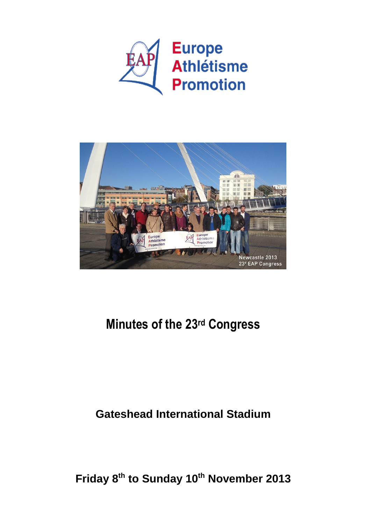



# **Minutes of the 23rd Congress**

## **Gateshead International Stadium**

**Friday 8 th to Sunday 10th November 2013**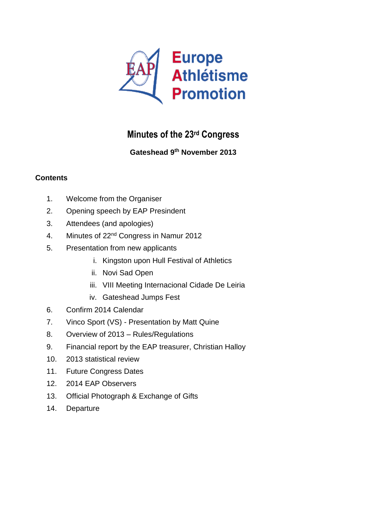

## **Minutes of the 23rd Congress**

#### **Gateshead 9th November 2013**

#### **Contents**

- 1. Welcome from the Organiser
- 2. Opening speech by EAP Presindent
- 3. Attendees (and apologies)
- 4. Minutes of 22nd Congress in Namur 2012
- 5. Presentation from new applicants
	- i. Kingston upon Hull Festival of Athletics
	- ii. Novi Sad Open
	- iii. VIII Meeting Internacional Cidade De Leiria
	- iv. Gateshead Jumps Fest
- 6. Confirm 2014 Calendar
- 7. Vinco Sport (VS) Presentation by Matt Quine
- 8. Overview of 2013 Rules/Regulations
- 9. Financial report by the EAP treasurer, Christian Halloy
- 10. 2013 statistical review
- 11. Future Congress Dates
- 12. 2014 EAP Observers
- 13. Official Photograph & Exchange of Gifts
- 14. Departure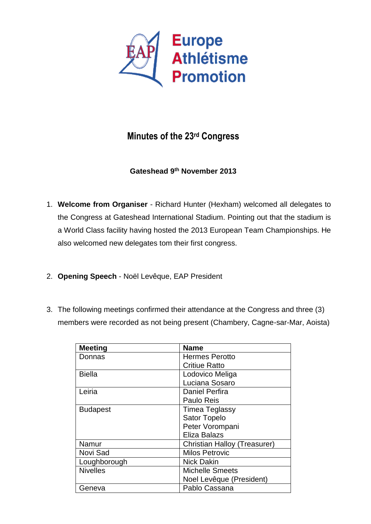

### **Minutes of the 23rd Congress**

#### **Gateshead 9th November 2013**

- 1. **Welcome from Organiser** Richard Hunter (Hexham) welcomed all delegates to the Congress at Gateshead International Stadium. Pointing out that the stadium is a World Class facility having hosted the 2013 European Team Championships. He also welcomed new delegates tom their first congress.
- 2. **Opening Speech** Noël Levêque, EAP President
- 3. The following meetings confirmed their attendance at the Congress and three (3) members were recorded as not being present (Chambery, Cagne-sar-Mar, Aoista)

| <b>Meeting</b>  | <b>Name</b>                  |
|-----------------|------------------------------|
| Donnas          | <b>Hermes Perotto</b>        |
|                 | <b>Critiue Ratto</b>         |
| Biella          | Lodovico Meliga              |
|                 | Luciana Sosaro               |
| Leiria          | <b>Daniel Perfira</b>        |
|                 | Paulo Reis                   |
| <b>Budapest</b> | Timea Teglassy               |
|                 | <b>Sator Topelo</b>          |
|                 | Peter Vorompani              |
|                 | Eliza Balazs                 |
| Namur           | Christian Halloy (Treasurer) |
| Novi Sad        | <b>Milos Petrovic</b>        |
| Loughborough    | <b>Nick Dakin</b>            |
| <b>Nivelles</b> | <b>Michelle Smeets</b>       |
|                 | Noel Levêque (President)     |
| Geneva          | Pablo Cassana                |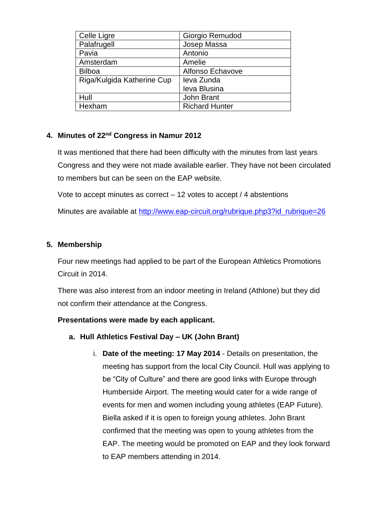| Celle Ligre                | Giorgio Remudod       |
|----------------------------|-----------------------|
| Palafrugell                | Josep Massa           |
| Pavia                      | Antonio               |
| Amsterdam                  | Amelie                |
| <b>Bilboa</b>              | Alfonso Echavove      |
| Riga/Kulgida Katherine Cup | leva Zunda            |
|                            | leva Blusina          |
| Hull                       | John Brant            |
| Hexham                     | <b>Richard Hunter</b> |

#### **4. Minutes of 22nd Congress in Namur 2012**

It was mentioned that there had been difficulty with the minutes from last years Congress and they were not made available earlier. They have not been circulated to members but can be seen on the EAP website.

Vote to accept minutes as correct – 12 votes to accept / 4 abstentions

Minutes are available at [http://www.eap-circuit.org/rubrique.php3?id\\_rubrique=26](http://www.eap-circuit.org/rubrique.php3?id_rubrique=26)

#### **5. Membership**

Four new meetings had applied to be part of the European Athletics Promotions Circuit in 2014.

There was also interest from an indoor meeting in Ireland (Athlone) but they did not confirm their attendance at the Congress.

#### **Presentations were made by each applicant.**

- **a. Hull Athletics Festival Day – UK (John Brant)**
	- i. **Date of the meeting: 17 May 2014** Details on presentation, the meeting has support from the local City Council. Hull was applying to be "City of Culture" and there are good links with Europe through Humberside Airport. The meeting would cater for a wide range of events for men and women including young athletes (EAP Future). Biella asked if it is open to foreign young athletes. John Brant confirmed that the meeting was open to young athletes from the EAP. The meeting would be promoted on EAP and they look forward to EAP members attending in 2014.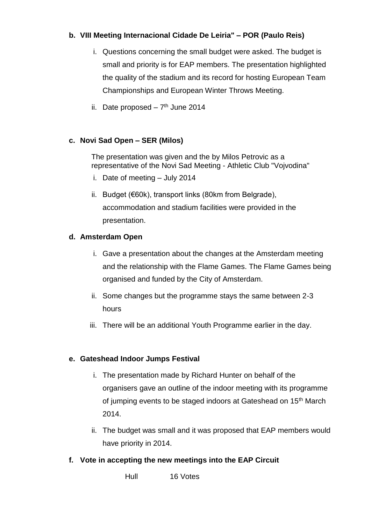#### **b. VIII Meeting Internacional Cidade De Leiria" – POR (Paulo Reis)**

- i. Questions concerning the small budget were asked. The budget is small and priority is for EAP members. The presentation highlighted the quality of the stadium and its record for hosting European Team Championships and European Winter Throws Meeting.
- ii. Date proposed  $-7<sup>th</sup>$  June 2014

#### **c. Novi Sad Open – SER (Milos)**

The presentation was given and the by Milos Petrovic as a representative of the Novi Sad Meeting - Athletic Club "Vojvodina"

- i. Date of meeting July 2014
- ii. Budget (€60k), transport links (80km from Belgrade), accommodation and stadium facilities were provided in the presentation.

#### **d. Amsterdam Open**

- i. Gave a presentation about the changes at the Amsterdam meeting and the relationship with the Flame Games. The Flame Games being organised and funded by the City of Amsterdam.
- ii. Some changes but the programme stays the same between 2-3 hours
- iii. There will be an additional Youth Programme earlier in the day.

#### **e. Gateshead Indoor Jumps Festival**

- i. The presentation made by Richard Hunter on behalf of the organisers gave an outline of the indoor meeting with its programme of jumping events to be staged indoors at Gateshead on 15<sup>th</sup> March 2014.
- ii. The budget was small and it was proposed that EAP members would have priority in 2014.
- **f. Vote in accepting the new meetings into the EAP Circuit**

Hull 16 Votes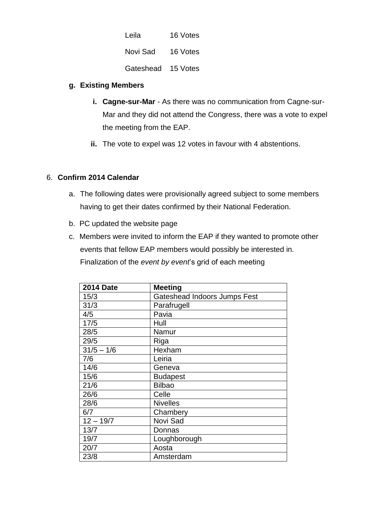| Leila     | 16 Votes |
|-----------|----------|
| Novi Sad  | 16 Votes |
| Gateshead | 15 Votes |

#### **g. Existing Members**

- **i. Cagne-sur-Mar** As there was no communication from Cagne-sur-Mar and they did not attend the Congress, there was a vote to expel the meeting from the EAP.
- **ii.** The vote to expel was 12 votes in favour with 4 abstentions.

#### 6. **Confirm 2014 Calendar**

- a. The following dates were provisionally agreed subject to some members having to get their dates confirmed by their National Federation.
- b. PC updated the website page
- c. Members were invited to inform the EAP if they wanted to promote other events that fellow EAP members would possibly be interested in. Finalization of the *event by event*'s grid of each meeting

| <b>2014 Date</b> | <b>Meeting</b>               |
|------------------|------------------------------|
| 15/3             | Gateshead Indoors Jumps Fest |
| 31/3             | Parafrugell                  |
| 4/5              | Pavia                        |
| 17/5             | Hull                         |
| 28/5             | Namur                        |
| 29/5             | <b>Riga</b>                  |
| $31/5 - 1/6$     | Hexham                       |
| 7/6              | Leiria                       |
| 14/6             | Geneva                       |
| 15/6             | <b>Budapest</b>              |
| 21/6             | <b>Bilbao</b>                |
| 26/6             | Celle                        |
| 28/6             | <b>Nivelles</b>              |
| 6/7              | Chambery                     |
| $12 - 19/7$      | Novi Sad                     |
| 13/7             | Donnas                       |
| 19/7             | Loughborough                 |
| 20/7             | Aosta                        |
| 23/8             | Amsterdam                    |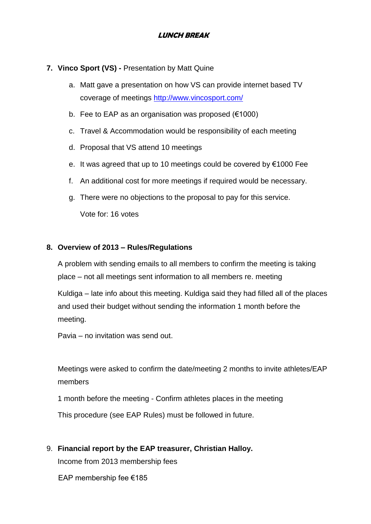#### **LUNCH BREAK**

#### **7. Vinco Sport (VS) -** Presentation by Matt Quine

- a. Matt gave a presentation on how VS can provide internet based TV coverage of meetings<http://www.vincosport.com/>
- b. Fee to EAP as an organisation was proposed (€1000)
- c. Travel & Accommodation would be responsibility of each meeting
- d. Proposal that VS attend 10 meetings
- e. It was agreed that up to 10 meetings could be covered by €1000 Fee
- f. An additional cost for more meetings if required would be necessary.
- g. There were no objections to the proposal to pay for this service. Vote for: 16 votes

#### **8. Overview of 2013 – Rules/Regulations**

A problem with sending emails to all members to confirm the meeting is taking place – not all meetings sent information to all members re. meeting

Kuldiga – late info about this meeting. Kuldiga said they had filled all of the places and used their budget without sending the information 1 month before the meeting.

Pavia – no invitation was send out.

Meetings were asked to confirm the date/meeting 2 months to invite athletes/EAP members

1 month before the meeting - Confirm athletes places in the meeting This procedure (see EAP Rules) must be followed in future.

9. **Financial report by the EAP treasurer, Christian Halloy.** 

Income from 2013 membership fees

EAP membership fee €185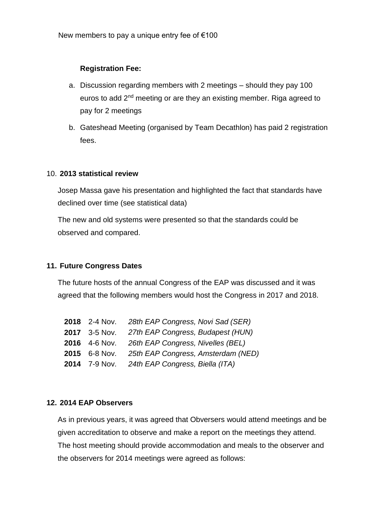#### **Registration Fee:**

- a. Discussion regarding members with 2 meetings should they pay 100 euros to add 2nd meeting or are they an existing member. Riga agreed to pay for 2 meetings
- b. Gateshead Meeting (organised by Team Decathlon) has paid 2 registration fees.

#### 10. **2013 statistical review**

Josep Massa gave his presentation and highlighted the fact that standards have declined over time (see statistical data)

The new and old systems were presented so that the standards could be observed and compared.

#### **11. Future Congress Dates**

The future hosts of the annual Congress of the EAP was discussed and it was agreed that the following members would host the Congress in 2017 and 2018.

| <b>2018</b> 2-4 Nov. | 28th EAP Congress, Novi Sad (SER)  |
|----------------------|------------------------------------|
| 2017 3-5 Nov.        | 27th EAP Congress, Budapest (HUN)  |
| 2016 4-6 Nov.        | 26th EAP Congress, Nivelles (BEL)  |
| 2015 6-8 Nov.        | 25th EAP Congress, Amsterdam (NED) |
| 2014 7-9 Nov.        | 24th EAP Congress, Biella (ITA)    |

#### **12. 2014 EAP Observers**

As in previous years, it was agreed that Obversers would attend meetings and be given accreditation to observe and make a report on the meetings they attend. The host meeting should provide accommodation and meals to the observer and the observers for 2014 meetings were agreed as follows: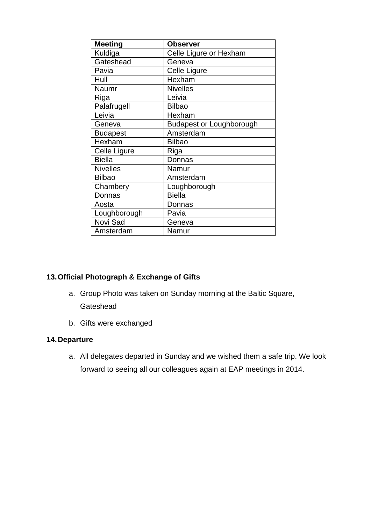| <b>Meeting</b>  | <b>Observer</b>                 |
|-----------------|---------------------------------|
| Kuldiga         | Celle Ligure or Hexham          |
| Gateshead       | Geneva                          |
| Pavia           | Celle Ligure                    |
| Hull            | Hexham                          |
| Naumr           | <b>Nivelles</b>                 |
| Riga            | Leivia                          |
| Palafrugell     | <b>Bilbao</b>                   |
| Leivia          | Hexham                          |
| Geneva          | <b>Budapest or Loughborough</b> |
| <b>Budapest</b> | Amsterdam                       |
| Hexham          | <b>Bilbao</b>                   |
| Celle Ligure    | Riga                            |
| <b>Biella</b>   | Donnas                          |
| <b>Nivelles</b> | Namur                           |
| <b>Bilbao</b>   | Amsterdam                       |
| Chambery        | Loughborough                    |
| Donnas          | <b>Biella</b>                   |
| Aosta           | Donnas                          |
| Loughborough    | Pavia                           |
| Novi Sad        | Geneva                          |
| Amsterdam       | Namur                           |

#### **13.Official Photograph & Exchange of Gifts**

- a. Group Photo was taken on Sunday morning at the Baltic Square, **Gateshead**
- b. Gifts were exchanged

#### **14.Departure**

a. All delegates departed in Sunday and we wished them a safe trip. We look forward to seeing all our colleagues again at EAP meetings in 2014.